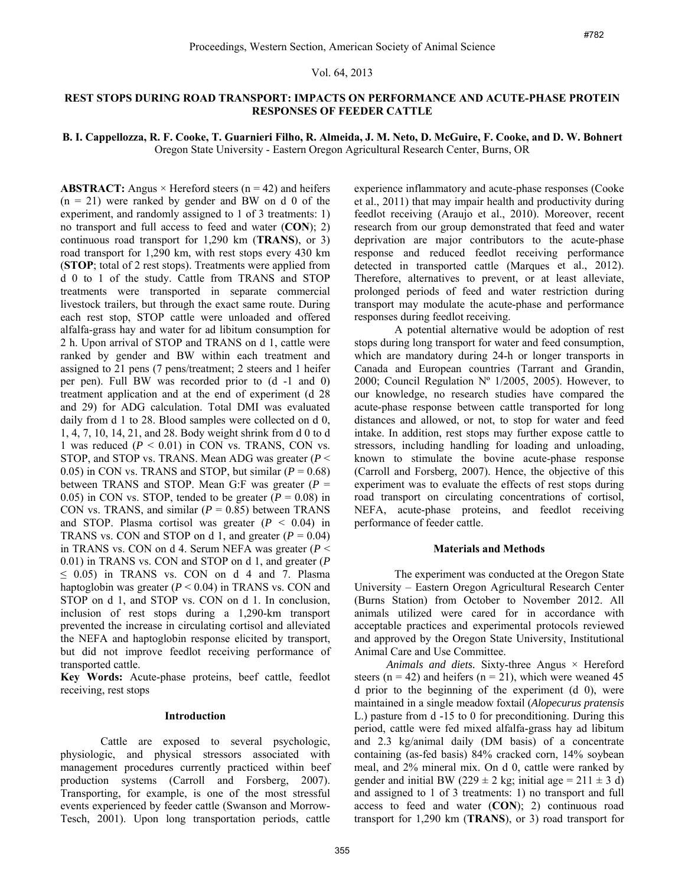## Vol. 64, 2013

# **REST STOPS DURING ROAD TRANSPORT: IMPACTS ON PERFORMANCE AND ACUTE-PHASE PROTEIN RESPONSES OF FEEDER CATTLE**

## **B. I. Cappellozza, R. F. Cooke, T. Guarnieri Filho, R. Almeida, J. M. Neto, D. McGuire, F. Cooke, and D. W. Bohnert**  Oregon State University - Eastern Oregon Agricultural Research Center, Burns, OR

**ABSTRACT:** Angus  $\times$  Hereford steers ( $n = 42$ ) and heifers  $(n = 21)$  were ranked by gender and BW on d 0 of the experiment, and randomly assigned to 1 of 3 treatments: 1) no transport and full access to feed and water (**CON**); 2) continuous road transport for 1,290 km (**TRANS**), or 3) road transport for 1,290 km, with rest stops every 430 km (**STOP**; total of 2 rest stops). Treatments were applied from d 0 to 1 of the study. Cattle from TRANS and STOP treatments were transported in separate commercial livestock trailers, but through the exact same route. During each rest stop, STOP cattle were unloaded and offered alfalfa-grass hay and water for ad libitum consumption for 2 h. Upon arrival of STOP and TRANS on d 1, cattle were ranked by gender and BW within each treatment and assigned to 21 pens (7 pens/treatment; 2 steers and 1 heifer per pen). Full BW was recorded prior to (d -1 and 0) treatment application and at the end of experiment (d 28 and 29) for ADG calculation. Total DMI was evaluated daily from d 1 to 28. Blood samples were collected on d 0, 1, 4, 7, 10, 14, 21, and 28. Body weight shrink from d 0 to d 1 was reduced  $(P < 0.01)$  in CON vs. TRANS, CON vs. STOP, and STOP vs. TRANS. Mean ADG was greater (*P* < 0.05) in CON vs. TRANS and STOP, but similar  $(P = 0.68)$ between TRANS and STOP. Mean G:F was greater (*P* = 0.05) in CON vs. STOP, tended to be greater  $(P = 0.08)$  in CON vs. TRANS, and similar  $(P = 0.85)$  between TRANS and STOP. Plasma cortisol was greater  $(P < 0.04)$  in TRANS vs. CON and STOP on d 1, and greater  $(P = 0.04)$ in TRANS vs. CON on d 4. Serum NEFA was greater (*P* < 0.01) in TRANS vs. CON and STOP on d 1, and greater (*P*  $\leq$  0.05) in TRANS vs. CON on d 4 and 7. Plasma haptoglobin was greater  $(P < 0.04)$  in TRANS vs. CON and STOP on d 1, and STOP vs. CON on d 1. In conclusion, inclusion of rest stops during a 1,290-km transport prevented the increase in circulating cortisol and alleviated the NEFA and haptoglobin response elicited by transport, but did not improve feedlot receiving performance of transported cattle.

**Key Words:** Acute-phase proteins, beef cattle, feedlot receiving, rest stops

### **Introduction**

Cattle are exposed to several psychologic, physiologic, and physical stressors associated with management procedures currently practiced within beef production systems (Carroll and Forsberg, 2007). Transporting, for example, is one of the most stressful events experienced by feeder cattle (Swanson and Morrow-Tesch, 2001). Upon long transportation periods, cattle experience inflammatory and acute-phase responses (Cooke et al., 2011) that may impair health and productivity during feedlot receiving (Araujo et al., 2010). Moreover, recent research from our group demonstrated that feed and water deprivation are major contributors to the acute-phase response and reduced feedlot receiving performance detected in transported cattle (Marques et al., 2012). Therefore, alternatives to prevent, or at least alleviate, prolonged periods of feed and water restriction during transport may modulate the acute-phase and performance responses during feedlot receiving.

A potential alternative would be adoption of rest stops during long transport for water and feed consumption, which are mandatory during 24-h or longer transports in Canada and European countries (Tarrant and Grandin, 2000; Council Regulation  $N^{\circ}$  1/2005, 2005). However, to our knowledge, no research studies have compared the acute-phase response between cattle transported for long distances and allowed, or not, to stop for water and feed intake. In addition, rest stops may further expose cattle to stressors, including handling for loading and unloading, known to stimulate the bovine acute-phase response (Carroll and Forsberg, 2007). Hence, the objective of this experiment was to evaluate the effects of rest stops during road transport on circulating concentrations of cortisol, NEFA, acute-phase proteins, and feedlot receiving performance of feeder cattle. oncican Society of Animal Science<br>
64, 2013<br>
SO PERFORMANCE AND ACUTE-PHASE PROTI<br>
SO PERFORMANCE AND ACUTE-PHASE PROTI<br>
FEDDER CATTLE<br>
FEDDER CATTLE<br>
FEDDER CATTLE<br>
and A.J. Metiodine, F. Cooke, and D. W. Boh<br>
magnifical

#### **Materials and Methods**

The experiment was conducted at the Oregon State University – Eastern Oregon Agricultural Research Center (Burns Station) from October to November 2012. All animals utilized were cared for in accordance with acceptable practices and experimental protocols reviewed and approved by the Oregon State University, Institutional Animal Care and Use Committee.

*Animals and diets.* Sixty-three Angus × Hereford steers ( $n = 42$ ) and heifers ( $n = 21$ ), which were weaned 45 d prior to the beginning of the experiment (d 0), were maintained in a single meadow foxtail (*Alopecurus pratensis* L.) pasture from d -15 to 0 for preconditioning. During this period, cattle were fed mixed alfalfa-grass hay ad libitum and 2.3 kg/animal daily (DM basis) of a concentrate containing (as-fed basis) 84% cracked corn, 14% soybean meal, and 2% mineral mix. On d 0, cattle were ranked by gender and initial BW (229  $\pm$  2 kg; initial age = 211  $\pm$  3 d) and assigned to 1 of 3 treatments: 1) no transport and full access to feed and water (**CON**); 2) continuous road transport for 1,290 km (**TRANS**), or 3) road transport for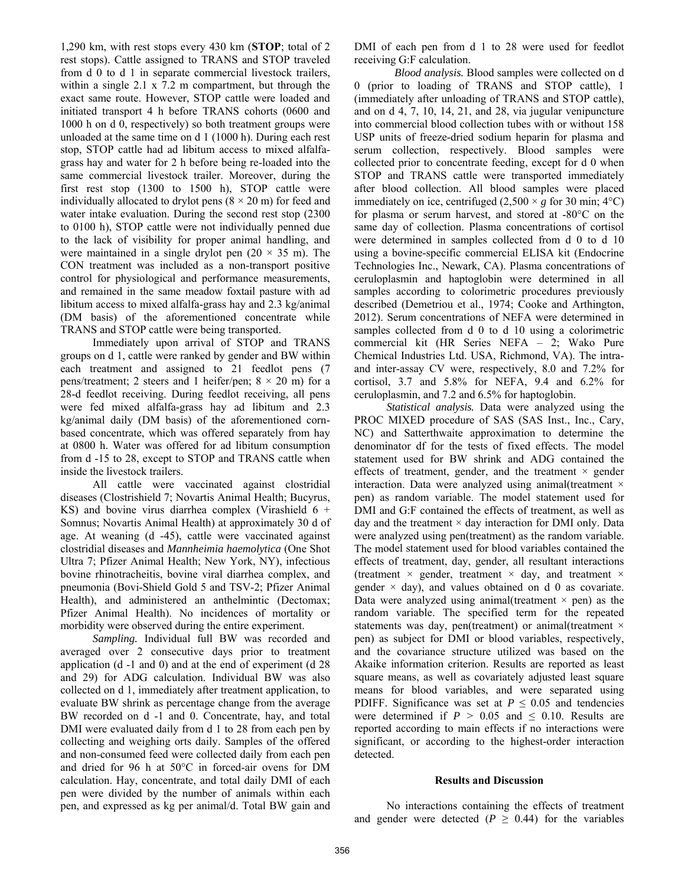1,290 km, with rest stops every 430 km (**STOP**; total of 2 rest stops). Cattle assigned to TRANS and STOP traveled from d 0 to d 1 in separate commercial livestock trailers, within a single 2.1 x 7.2 m compartment, but through the exact same route. However, STOP cattle were loaded and initiated transport 4 h before TRANS cohorts (0600 and 1000 h on d 0, respectively) so both treatment groups were unloaded at the same time on d 1 (1000 h). During each rest stop, STOP cattle had ad libitum access to mixed alfalfagrass hay and water for 2 h before being re-loaded into the same commercial livestock trailer. Moreover, during the first rest stop (1300 to 1500 h), STOP cattle were individually allocated to drylot pens  $(8 \times 20 \text{ m})$  for feed and water intake evaluation. During the second rest stop (2300 to 0100 h), STOP cattle were not individually penned due to the lack of visibility for proper animal handling, and were maintained in a single drylot pen  $(20 \times 35 \text{ m})$ . The CON treatment was included as a non-transport positive control for physiological and performance measurements, and remained in the same meadow foxtail pasture with ad libitum access to mixed alfalfa-grass hay and 2.3 kg/animal (DM basis) of the aforementioned concentrate while TRANS and STOP cattle were being transported.

Immediately upon arrival of STOP and TRANS groups on d 1, cattle were ranked by gender and BW within each treatment and assigned to 21 feedlot pens (7 pens/treatment; 2 steers and 1 heifer/pen;  $8 \times 20$  m) for a 28-d feedlot receiving. During feedlot receiving, all pens were fed mixed alfalfa-grass hay ad libitum and 2.3 kg/animal daily (DM basis) of the aforementioned cornbased concentrate, which was offered separately from hay at 0800 h. Water was offered for ad libitum consumption from d -15 to 28, except to STOP and TRANS cattle when inside the livestock trailers.

All cattle were vaccinated against clostridial diseases (Clostrishield 7; Novartis Animal Health; Bucyrus, KS) and bovine virus diarrhea complex (Virashield  $6 +$ Somnus; Novartis Animal Health) at approximately 30 d of age. At weaning (d -45), cattle were vaccinated against clostridial diseases and *Mannheimia haemolytica* (One Shot Ultra 7; Pfizer Animal Health; New York, NY), infectious bovine rhinotracheitis, bovine viral diarrhea complex, and pneumonia (Bovi-Shield Gold 5 and TSV-2; Pfizer Animal Health), and administered an anthelmintic (Dectomax; Pfizer Animal Health). No incidences of mortality or morbidity were observed during the entire experiment.

*Sampling.* Individual full BW was recorded and averaged over 2 consecutive days prior to treatment application (d -1 and 0) and at the end of experiment (d 28 and 29) for ADG calculation. Individual BW was also collected on d 1, immediately after treatment application, to evaluate BW shrink as percentage change from the average BW recorded on d -1 and 0. Concentrate, hay, and total DMI were evaluated daily from d 1 to 28 from each pen by collecting and weighing orts daily. Samples of the offered and non-consumed feed were collected daily from each pen and dried for 96 h at 50°C in forced-air ovens for DM calculation. Hay, concentrate, and total daily DMI of each pen were divided by the number of animals within each pen, and expressed as kg per animal/d. Total BW gain and

DMI of each pen from d 1 to 28 were used for feedlot receiving G:F calculation.

*Blood analysis.* Blood samples were collected on d 0 (prior to loading of TRANS and STOP cattle), 1 (immediately after unloading of TRANS and STOP cattle), and on d 4, 7, 10, 14, 21, and 28, via jugular venipuncture into commercial blood collection tubes with or without 158 USP units of freeze-dried sodium heparin for plasma and serum collection, respectively. Blood samples were collected prior to concentrate feeding, except for d 0 when STOP and TRANS cattle were transported immediately after blood collection. All blood samples were placed immediately on ice, centrifuged  $(2,500 \times g$  for 30 min; 4<sup>o</sup>C) for plasma or serum harvest, and stored at -80°C on the same day of collection. Plasma concentrations of cortisol were determined in samples collected from d 0 to d 10 using a bovine-specific commercial ELISA kit (Endocrine Technologies Inc., Newark, CA). Plasma concentrations of ceruloplasmin and haptoglobin were determined in all samples according to colorimetric procedures previously described (Demetriou et al., 1974; Cooke and Arthington, 2012). Serum concentrations of NEFA were determined in samples collected from d 0 to d 10 using a colorimetric commercial kit (HR Series NEFA – 2; Wako Pure Chemical Industries Ltd. USA, Richmond, VA). The intraand inter-assay CV were, respectively, 8.0 and 7.2% for cortisol, 3.7 and 5.8% for NEFA, 9.4 and 6.2% for ceruloplasmin, and 7.2 and 6.5% for haptoglobin.

*Statistical analysis.* Data were analyzed using the PROC MIXED procedure of SAS (SAS Inst., Inc., Cary, NC) and Satterthwaite approximation to determine the denominator df for the tests of fixed effects. The model statement used for BW shrink and ADG contained the effects of treatment, gender, and the treatment  $\times$  gender interaction. Data were analyzed using animal(treatment  $\times$ pen) as random variable. The model statement used for DMI and G:F contained the effects of treatment, as well as day and the treatment  $\times$  day interaction for DMI only. Data were analyzed using pen(treatment) as the random variable. The model statement used for blood variables contained the effects of treatment, day, gender, all resultant interactions (treatment  $\times$  gender, treatment  $\times$  day, and treatment  $\times$ gender  $\times$  day), and values obtained on d 0 as covariate. Data were analyzed using animal(treatment  $\times$  pen) as the random variable. The specified term for the repeated statements was day, pen(treatment) or animal(treatment  $\times$ pen) as subject for DMI or blood variables, respectively, and the covariance structure utilized was based on the Akaike information criterion. Results are reported as least square means, as well as covariately adjusted least square means for blood variables, and were separated using PDIFF. Significance was set at  $P \leq 0.05$  and tendencies were determined if  $P > 0.05$  and  $\leq 0.10$ . Results are reported according to main effects if no interactions were significant, or according to the highest-order interaction detected.

### **Results and Discussion**

No interactions containing the effects of treatment and gender were detected ( $P \ge 0.44$ ) for the variables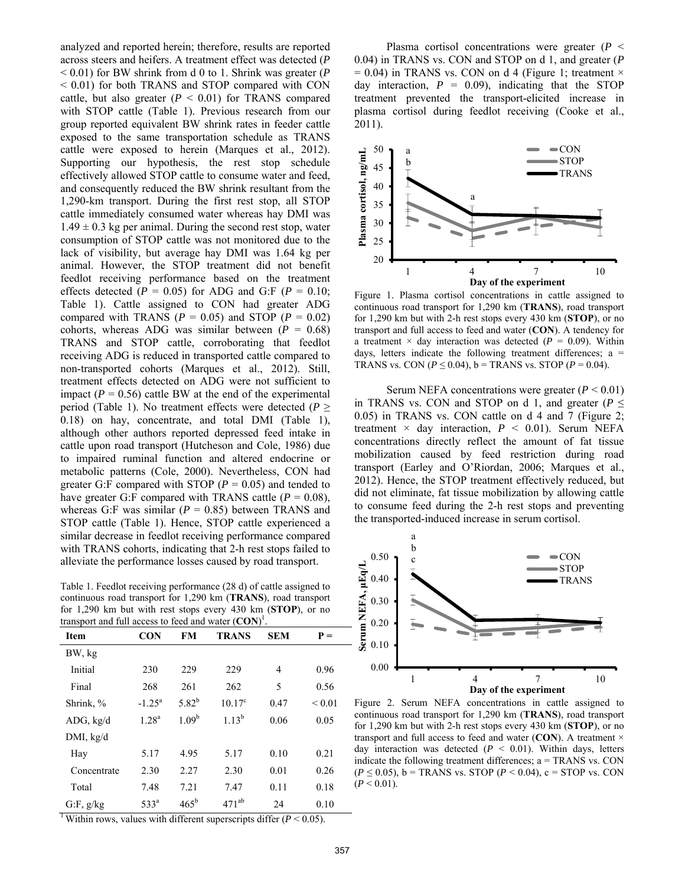analyzed and reported herein; therefore, results are reported across steers and heifers. A treatment effect was detected (*P* < 0.01) for BW shrink from d 0 to 1. Shrink was greater (*P* < 0.01) for both TRANS and STOP compared with CON cattle, but also greater  $(P < 0.01)$  for TRANS compared with STOP cattle (Table 1). Previous research from our group reported equivalent BW shrink rates in feeder cattle exposed to the same transportation schedule as TRANS cattle were exposed to herein (Marques et al., 2012). Supporting our hypothesis, the rest stop schedule effectively allowed STOP cattle to consume water and feed, and consequently reduced the BW shrink resultant from the 1,290-km transport. During the first rest stop, all STOP cattle immediately consumed water whereas hay DMI was  $1.49 \pm 0.3$  kg per animal. During the second rest stop, water consumption of STOP cattle was not monitored due to the lack of visibility, but average hay DMI was 1.64 kg per animal. However, the STOP treatment did not benefit feedlot receiving performance based on the treatment effects detected ( $P = 0.05$ ) for ADG and G:F ( $P = 0.10$ ; Table 1). Cattle assigned to CON had greater ADG compared with TRANS ( $P = 0.05$ ) and STOP ( $P = 0.02$ ) cohorts, whereas ADG was similar between  $(P = 0.68)$ TRANS and STOP cattle, corroborating that feedlot receiving ADG is reduced in transported cattle compared to non-transported cohorts (Marques et al., 2012). Still, treatment effects detected on ADG were not sufficient to impact  $(P = 0.56)$  cattle BW at the end of the experimental period (Table 1). No treatment effects were detected ( $P \geq$ 0.18) on hay, concentrate, and total DMI (Table 1), although other authors reported depressed feed intake in cattle upon road transport (Hutcheson and Cole, 1986) due to impaired ruminal function and altered endocrine or metabolic patterns (Cole, 2000). Nevertheless, CON had greater G:F compared with STOP ( $P = 0.05$ ) and tended to have greater G:F compared with TRANS cattle  $(P = 0.08)$ , whereas G:F was similar  $(P = 0.85)$  between TRANS and STOP cattle (Table 1). Hence, STOP cattle experienced a similar decrease in feedlot receiving performance compared with TRANS cohorts, indicating that 2-h rest stops failed to alleviate the performance losses caused by road transport.

Table 1. Feedlot receiving performance (28 d) of cattle assigned to continuous road transport for 1,290 km (**TRANS**), road transport for 1,290 km but with rest stops every 430 km (**STOP**), or no transport and full access to feed and water (**CON**) 1 .

| <b>Item</b> | <b>CON</b>         | FM            | <b>TRANS</b>    | <b>SEM</b>     | $P =$       |
|-------------|--------------------|---------------|-----------------|----------------|-------------|
| BW, kg      |                    |               |                 |                |             |
| Initial     | 230                | 229           | 229             | $\overline{4}$ | 0.96        |
| Final       | 268                | 261           | 262             | 5              | 0.56        |
| Shrink, %   | $-1.25^{\text{a}}$ | $5.82^{b}$    | $10.17^{\circ}$ | 0.47           | ${}_{0.01}$ |
| ADG, kg/d   | $1.28^{a}$         | $1.09^{b}$    | $1.13^{b}$      | 0.06           | 0.05        |
| DMI, kg/d   |                    |               |                 |                |             |
| Hay         | 5.17               | 4.95          | 5.17            | 0.10           | 0.21        |
| Concentrate | 2.30               | 2.27          | 2.30            | 0.01           | 0.26        |
| Total       | 7.48               | 7.21          | 7.47            | 0.11           | 0.18        |
| G.F, g/kg   | 533 <sup>a</sup>   | $465^{\rm b}$ | $471^{ab}$      | 24             | 0.10        |

Plasma cortisol concentrations were greater (*P* < 0.04) in TRANS vs. CON and STOP on d 1, and greater (*P*  $= 0.04$ ) in TRANS vs. CON on d 4 (Figure 1; treatment  $\times$ day interaction,  $P = 0.09$ , indicating that the STOP treatment prevented the transport-elicited increase in plasma cortisol during feedlot receiving (Cooke et al., 2011).



Figure 1. Plasma cortisol concentrations in cattle assigned to continuous road transport for 1,290 km (**TRANS**), road transport for 1,290 km but with 2-h rest stops every 430 km (**STOP**), or no transport and full access to feed and water (**CON**). A tendency for a treatment  $\times$  day interaction was detected ( $P = 0.09$ ). Within days, letters indicate the following treatment differences;  $a =$ TRANS vs. CON ( $P \le 0.04$ ),  $b =$  TRANS vs. STOP ( $P = 0.04$ ).

Serum NEFA concentrations were greater  $(P < 0.01)$ in TRANS vs. CON and STOP on d 1, and greater ( $P \leq$ 0.05) in TRANS vs. CON cattle on d 4 and 7 (Figure 2; treatment  $\times$  day interaction,  $P \leq 0.01$ ). Serum NEFA concentrations directly reflect the amount of fat tissue mobilization caused by feed restriction during road transport (Earley and O'Riordan, 2006; Marques et al., 2012). Hence, the STOP treatment effectively reduced, but did not eliminate, fat tissue mobilization by allowing cattle to consume feed during the 2-h rest stops and preventing the transported-induced increase in serum cortisol.



Figure 2. Serum NEFA concentrations in cattle assigned to continuous road transport for 1,290 km (**TRANS**), road transport for 1,290 km but with 2-h rest stops every 430 km (**STOP**), or no transport and full access to feed and water (**CON**). A treatment × day interaction was detected (*P* < 0.01). Within days, letters indicate the following treatment differences; a = TRANS vs. CON (*P* ≤ 0.05), b = TRANS vs. STOP (*P* < 0.04), c = STOP vs. CON  $(P < 0.01)$ .

<sup>1</sup> Within rows, values with different superscripts differ  $(P < 0.05)$ .